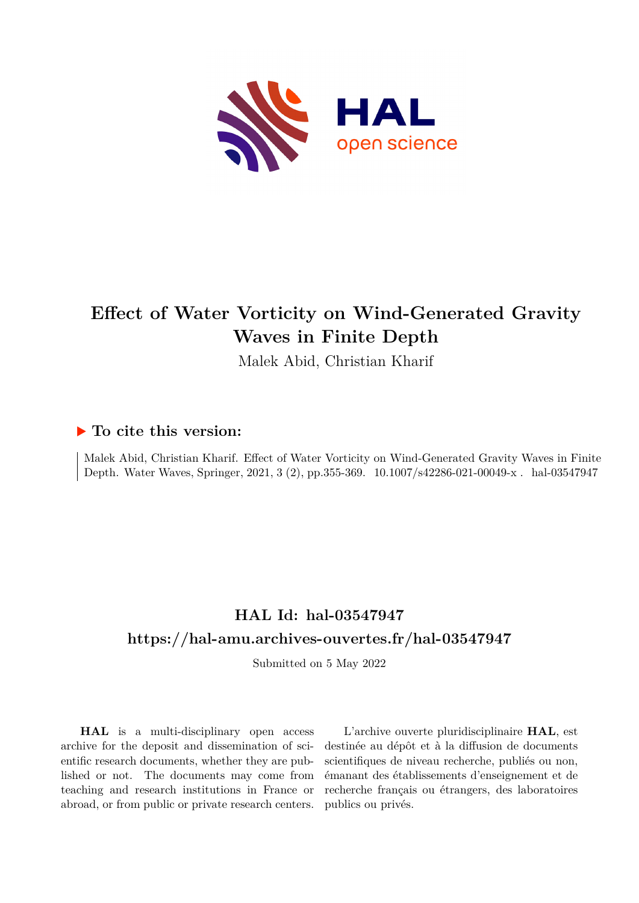

# **Effect of Water Vorticity on Wind-Generated Gravity Waves in Finite Depth**

Malek Abid, Christian Kharif

### **To cite this version:**

Malek Abid, Christian Kharif. Effect of Water Vorticity on Wind-Generated Gravity Waves in Finite Depth. Water Waves, Springer, 2021, 3 (2), pp.355-369. 10.1007/s42286-021-00049-x. hal-03547947

## **HAL Id: hal-03547947 <https://hal-amu.archives-ouvertes.fr/hal-03547947>**

Submitted on 5 May 2022

**HAL** is a multi-disciplinary open access archive for the deposit and dissemination of scientific research documents, whether they are published or not. The documents may come from teaching and research institutions in France or abroad, or from public or private research centers.

L'archive ouverte pluridisciplinaire **HAL**, est destinée au dépôt et à la diffusion de documents scientifiques de niveau recherche, publiés ou non, émanant des établissements d'enseignement et de recherche français ou étrangers, des laboratoires publics ou privés.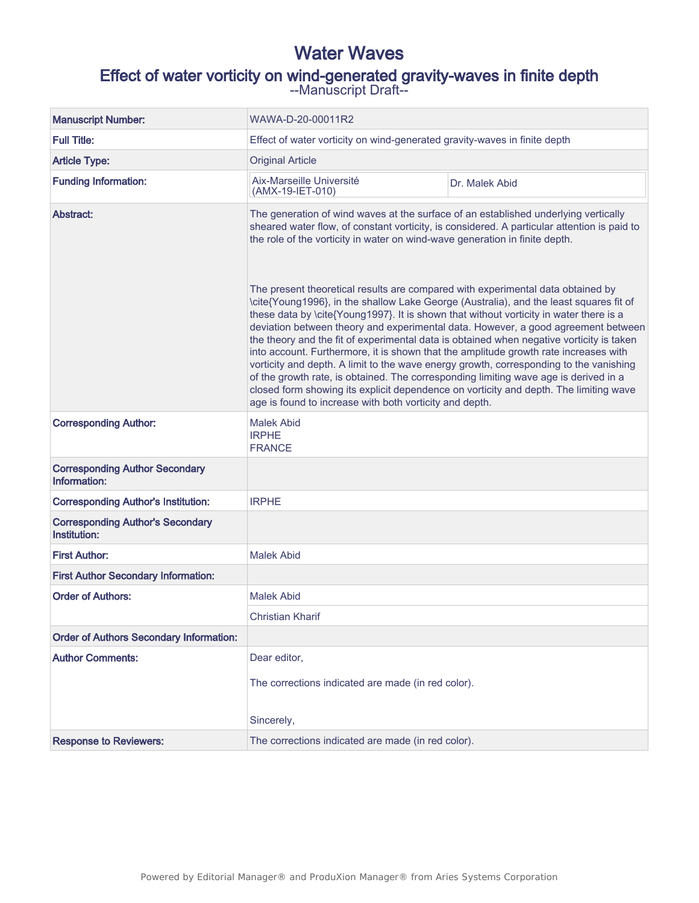## Water Waves

### Effect of water vorticity on wind-generated gravity-waves in finite depth

--Manuscript Draft--

| <b>Manuscript Number:</b>                               | WAWA-D-20-00011R2                                                                                                                                                                                                                                                                                                                                                                                                                                                                                                                                                                                                                                                                                                                                                                                                                                                                                                                                                                                                                                                                                                                                       |                |
|---------------------------------------------------------|---------------------------------------------------------------------------------------------------------------------------------------------------------------------------------------------------------------------------------------------------------------------------------------------------------------------------------------------------------------------------------------------------------------------------------------------------------------------------------------------------------------------------------------------------------------------------------------------------------------------------------------------------------------------------------------------------------------------------------------------------------------------------------------------------------------------------------------------------------------------------------------------------------------------------------------------------------------------------------------------------------------------------------------------------------------------------------------------------------------------------------------------------------|----------------|
| <b>Full Title:</b>                                      | Effect of water vorticity on wind-generated gravity-waves in finite depth                                                                                                                                                                                                                                                                                                                                                                                                                                                                                                                                                                                                                                                                                                                                                                                                                                                                                                                                                                                                                                                                               |                |
| <b>Article Type:</b>                                    | <b>Original Article</b>                                                                                                                                                                                                                                                                                                                                                                                                                                                                                                                                                                                                                                                                                                                                                                                                                                                                                                                                                                                                                                                                                                                                 |                |
| <b>Funding Information:</b>                             | Aix-Marseille Université<br>(AMX-19-IET-010)                                                                                                                                                                                                                                                                                                                                                                                                                                                                                                                                                                                                                                                                                                                                                                                                                                                                                                                                                                                                                                                                                                            | Dr. Malek Abid |
| Abstract:                                               | The generation of wind waves at the surface of an established underlying vertically<br>sheared water flow, of constant vorticity, is considered. A particular attention is paid to<br>the role of the vorticity in water on wind-wave generation in finite depth.<br>The present theoretical results are compared with experimental data obtained by<br>\cite{Young1996}, in the shallow Lake George (Australia), and the least squares fit of<br>these data by \cite{Young1997}. It is shown that without vorticity in water there is a<br>deviation between theory and experimental data. However, a good agreement between<br>the theory and the fit of experimental data is obtained when negative vorticity is taken<br>into account. Furthermore, it is shown that the amplitude growth rate increases with<br>vorticity and depth. A limit to the wave energy growth, corresponding to the vanishing<br>of the growth rate, is obtained. The corresponding limiting wave age is derived in a<br>closed form showing its explicit dependence on vorticity and depth. The limiting wave<br>age is found to increase with both vorticity and depth. |                |
| <b>Corresponding Author:</b>                            | <b>Malek Abid</b><br><b>IRPHE</b><br><b>FRANCE</b>                                                                                                                                                                                                                                                                                                                                                                                                                                                                                                                                                                                                                                                                                                                                                                                                                                                                                                                                                                                                                                                                                                      |                |
| <b>Corresponding Author Secondary</b><br>Information:   |                                                                                                                                                                                                                                                                                                                                                                                                                                                                                                                                                                                                                                                                                                                                                                                                                                                                                                                                                                                                                                                                                                                                                         |                |
| <b>Corresponding Author's Institution:</b>              | <b>IRPHE</b>                                                                                                                                                                                                                                                                                                                                                                                                                                                                                                                                                                                                                                                                                                                                                                                                                                                                                                                                                                                                                                                                                                                                            |                |
| <b>Corresponding Author's Secondary</b><br>Institution: |                                                                                                                                                                                                                                                                                                                                                                                                                                                                                                                                                                                                                                                                                                                                                                                                                                                                                                                                                                                                                                                                                                                                                         |                |
| <b>First Author:</b>                                    | <b>Malek Abid</b>                                                                                                                                                                                                                                                                                                                                                                                                                                                                                                                                                                                                                                                                                                                                                                                                                                                                                                                                                                                                                                                                                                                                       |                |
| <b>First Author Secondary Information:</b>              |                                                                                                                                                                                                                                                                                                                                                                                                                                                                                                                                                                                                                                                                                                                                                                                                                                                                                                                                                                                                                                                                                                                                                         |                |
| <b>Order of Authors:</b>                                | <b>Malek Abid</b>                                                                                                                                                                                                                                                                                                                                                                                                                                                                                                                                                                                                                                                                                                                                                                                                                                                                                                                                                                                                                                                                                                                                       |                |
|                                                         | Christian Kharif                                                                                                                                                                                                                                                                                                                                                                                                                                                                                                                                                                                                                                                                                                                                                                                                                                                                                                                                                                                                                                                                                                                                        |                |
| <b>Order of Authors Secondary Information:</b>          |                                                                                                                                                                                                                                                                                                                                                                                                                                                                                                                                                                                                                                                                                                                                                                                                                                                                                                                                                                                                                                                                                                                                                         |                |
| <b>Author Comments:</b>                                 | Dear editor,<br>The corrections indicated are made (in red color).                                                                                                                                                                                                                                                                                                                                                                                                                                                                                                                                                                                                                                                                                                                                                                                                                                                                                                                                                                                                                                                                                      |                |
|                                                         | Sincerely,                                                                                                                                                                                                                                                                                                                                                                                                                                                                                                                                                                                                                                                                                                                                                                                                                                                                                                                                                                                                                                                                                                                                              |                |
| <b>Response to Reviewers:</b>                           | The corrections indicated are made (in red color).                                                                                                                                                                                                                                                                                                                                                                                                                                                                                                                                                                                                                                                                                                                                                                                                                                                                                                                                                                                                                                                                                                      |                |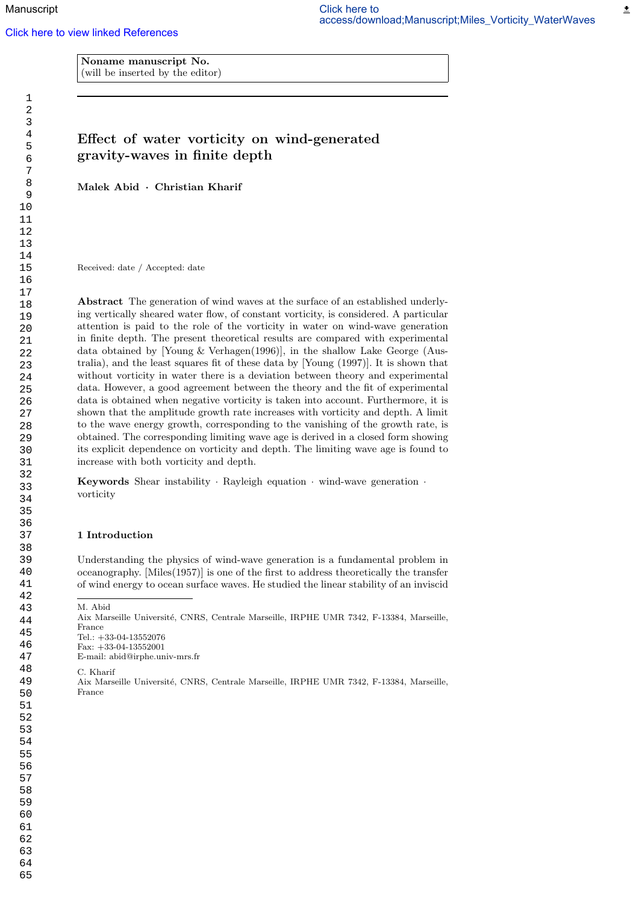#### [Click here to view linked References](https://www.editorialmanager.com/wawa/viewRCResults.aspx?pdf=1&docID=101&rev=2&fileID=5338&msid=0af5b664-6f5c-4905-a9ff-48d91f5863e5)

ᆂ

Noname manuscript No. (will be inserted by the editor)

### Effect of water vorticity on wind-generated gravity-waves in finite depth

Malek Abid · Christian Kharif

Received: date / Accepted: date

Abstract The generation of wind waves at the surface of an established underlying vertically sheared water flow, of constant vorticity, is considered. A particular attention is paid to the role of the vorticity in water on wind-wave generation in finite depth. The present theoretical results are compared with experimental data obtained by [Young & Verhagen(1996)], in the shallow Lake George (Australia), and the least squares fit of these data by [Young (1997)]. It is shown that without vorticity in water there is a deviation between theory and experimental data. However, a good agreement between the theory and the fit of experimental data is obtained when negative vorticity is taken into account. Furthermore, it is shown that the amplitude growth rate increases with vorticity and depth. A limit to the wave energy growth, corresponding to the vanishing of the growth rate, is obtained. The corresponding limiting wave age is derived in a closed form showing its explicit dependence on vorticity and depth. The limiting wave age is found to increase with both vorticity and depth.

Keywords Shear instability  $\cdot$  Rayleigh equation  $\cdot$  wind-wave generation  $\cdot$ vorticity

#### 1 Introduction

Understanding the physics of wind-wave generation is a fundamental problem in oceanography. [Miles(1957)] is one of the first to address theoretically the transfer of wind energy to ocean surface waves. He studied the linear stability of an inviscid

M. Abid

Aix Marseille Université, CNRS, Centrale Marseille, IRPHE UMR 7342, F-13384, Marseille, France

Tel.: +33-04-13552076 Fax: +33-04-13552001

E-mail: abid@irphe.univ-mrs.fr

C. Kharif

Aix Marseille Université, CNRS, Centrale Marseille, IRPHE UMR 7342, F-13384, Marseille, France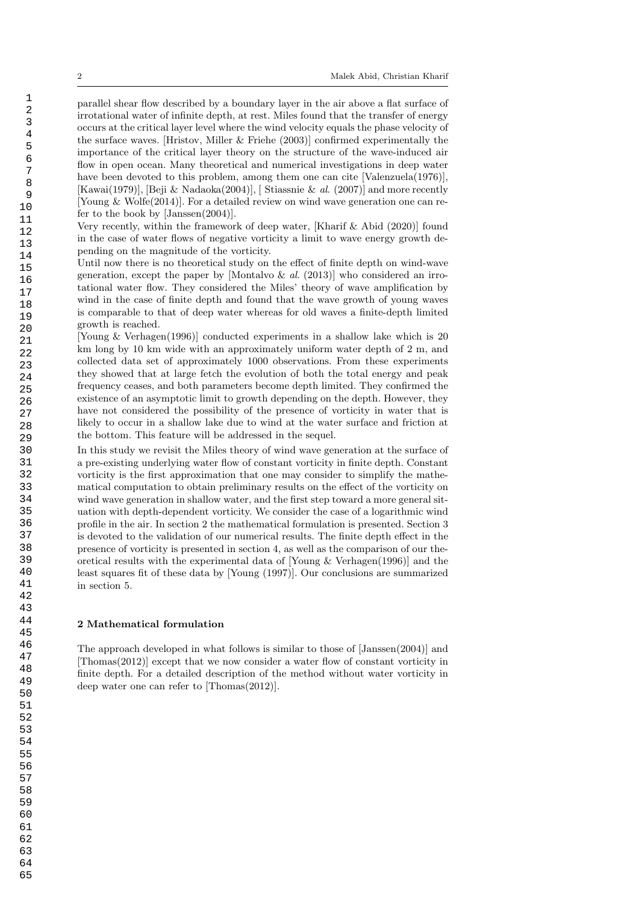parallel shear flow described by a boundary layer in the air above a flat surface of irrotational water of infinite depth, at rest. Miles found that the transfer of energy occurs at the critical layer level where the wind velocity equals the phase velocity of the surface waves. [Hristov, Miller & Friehe (2003)] confirmed experimentally the importance of the critical layer theory on the structure of the wave-induced air flow in open ocean. Many theoretical and numerical investigations in deep water have been devoted to this problem, among them one can cite [Valenzuela(1976)], [Kawai(1979)], [Beji & Nadaoka(2004)], [ Stiassnie & al. (2007)] and more recently [Young & Wolfe(2014)]. For a detailed review on wind wave generation one can refer to the book by [Janssen(2004)].

Very recently, within the framework of deep water, [Kharif & Abid (2020)] found in the case of water flows of negative vorticity a limit to wave energy growth depending on the magnitude of the vorticity.

Until now there is no theoretical study on the effect of finite depth on wind-wave generation, except the paper by [Montalvo  $\&$  al. (2013)] who considered an irrotational water flow. They considered the Miles' theory of wave amplification by wind in the case of finite depth and found that the wave growth of young waves is comparable to that of deep water whereas for old waves a finite-depth limited growth is reached.

[Young & Verhagen(1996)] conducted experiments in a shallow lake which is 20 km long by 10 km wide with an approximately uniform water depth of 2 m, and collected data set of approximately 1000 observations. From these experiments they showed that at large fetch the evolution of both the total energy and peak frequency ceases, and both parameters become depth limited. They confirmed the existence of an asymptotic limit to growth depending on the depth. However, they have not considered the possibility of the presence of vorticity in water that is likely to occur in a shallow lake due to wind at the water surface and friction at the bottom. This feature will be addressed in the sequel.

In this study we revisit the Miles theory of wind wave generation at the surface of a pre-existing underlying water flow of constant vorticity in finite depth. Constant vorticity is the first approximation that one may consider to simplify the mathematical computation to obtain preliminary results on the effect of the vorticity on wind wave generation in shallow water, and the first step toward a more general situation with depth-dependent vorticity. We consider the case of a logarithmic wind profile in the air. In section 2 the mathematical formulation is presented. Section 3 is devoted to the validation of our numerical results. The finite depth effect in the presence of vorticity is presented in section 4, as well as the comparison of our theoretical results with the experimental data of [Young & Verhagen(1996)] and the least squares fit of these data by [Young (1997)]. Our conclusions are summarized in section 5.

#### 2 Mathematical formulation

The approach developed in what follows is similar to those of [Janssen(2004)] and [Thomas(2012)] except that we now consider a water flow of constant vorticity in finite depth. For a detailed description of the method without water vorticity in deep water one can refer to [Thomas(2012)].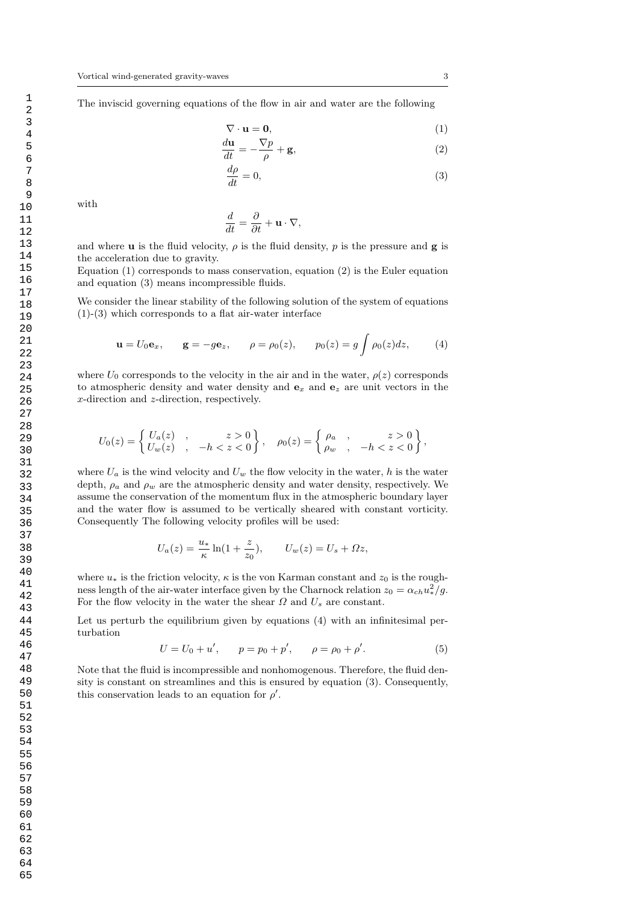The inviscid governing equations of the flow in air and water are the following

$$
\nabla \cdot \mathbf{u} = \mathbf{0},\tag{1}
$$

$$
\frac{d\mathbf{u}}{dt} = -\frac{\nabla p}{\rho} + \mathbf{g},\tag{2}
$$

$$
\frac{d\rho}{dt} = 0,\t\t(3)
$$

with

$$
\frac{d}{dt} = \frac{\partial}{\partial t} + \mathbf{u} \cdot \nabla,
$$

and where **u** is the fluid velocity,  $\rho$  is the fluid density,  $p$  is the pressure and **g** is the acceleration due to gravity.

Equation (1) corresponds to mass conservation, equation (2) is the Euler equation and equation (3) means incompressible fluids.

We consider the linear stability of the following solution of the system of equations (1)-(3) which corresponds to a flat air-water interface

$$
\mathbf{u} = U_0 \mathbf{e}_x, \quad \mathbf{g} = -g \mathbf{e}_z, \quad \rho = \rho_0(z), \quad p_0(z) = g \int \rho_0(z) dz, \quad (4)
$$

where  $U_0$  corresponds to the velocity in the air and in the water,  $\rho(z)$  corresponds to atmospheric density and water density and  $e_x$  and  $e_z$  are unit vectors in the x-direction and z-direction, respectively.

$$
U_0(z) = \begin{cases} U_a(z) , & z > 0 \\ U_w(z) , & -h < z < 0 \end{cases}, \quad \rho_0(z) = \begin{cases} \rho_a , & z > 0 \\ \rho_w , & -h < z < 0 \end{cases},
$$

where  $U_a$  is the wind velocity and  $U_w$  the flow velocity in the water, h is the water depth,  $\rho_a$  and  $\rho_w$  are the atmospheric density and water density, respectively. We assume the conservation of the momentum flux in the atmospheric boundary layer and the water flow is assumed to be vertically sheared with constant vorticity. Consequently The following velocity profiles will be used:

$$
U_a(z) = \frac{u_*}{\kappa} \ln(1 + \frac{z}{z_0}),
$$
  $U_w(z) = U_s + \Omega z,$ 

where  $u_*$  is the friction velocity,  $\kappa$  is the von Karman constant and  $z_0$  is the roughness length of the air-water interface given by the Charnock relation  $z_0 = \alpha_{ch} u_*^2/g$ . For the flow velocity in the water the shear  $\Omega$  and  $U_s$  are constant.

Let us perturb the equilibrium given by equations (4) with an infinitesimal perturbation

$$
U = U_0 + u', \qquad p = p_0 + p', \qquad \rho = \rho_0 + \rho'. \tag{5}
$$

Note that the fluid is incompressible and nonhomogenous. Therefore, the fluid density is constant on streamlines and this is ensured by equation (3). Consequently, this conservation leads to an equation for  $\rho'$ .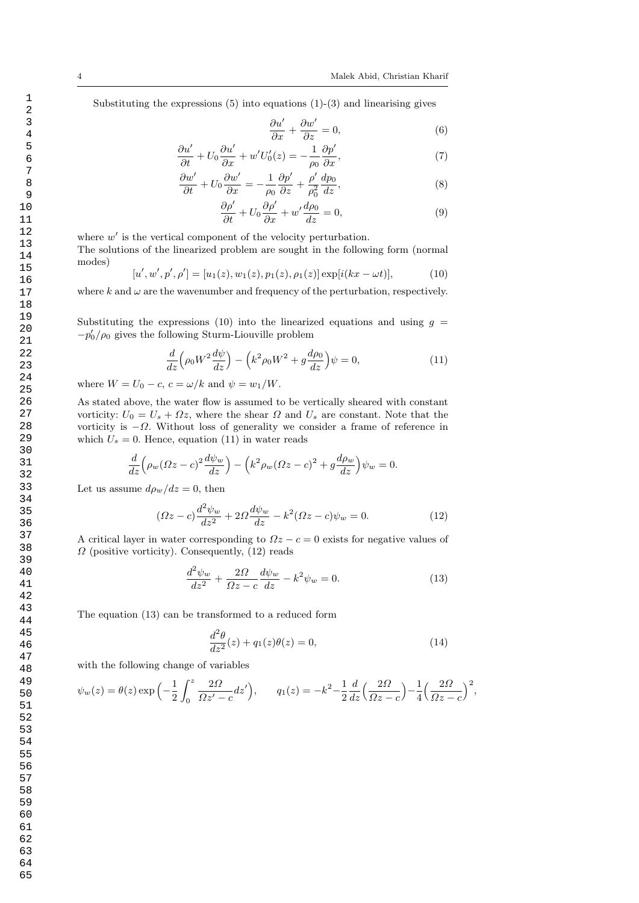Substituting the expressions  $(5)$  into equations  $(1)-(3)$  and linearising gives

$$
\frac{\partial u'}{\partial x} + \frac{\partial w'}{\partial z} = 0,\tag{6}
$$

$$
\frac{\partial u'}{\partial t} + U_0 \frac{\partial u'}{\partial x} + w' U'_0(z) = -\frac{1}{\rho_0} \frac{\partial p'}{\partial x},\tag{7}
$$

$$
\frac{\partial w'}{\partial t} + U_0 \frac{\partial w'}{\partial x} = -\frac{1}{\rho_0} \frac{\partial p'}{\partial z} + \frac{\rho'}{\rho_0^2} \frac{dp_0}{dz},\tag{8}
$$

$$
\frac{\partial \rho'}{\partial t} + U_0 \frac{\partial \rho'}{\partial x} + w' \frac{d\rho_0}{dz} = 0,
$$
\n(9)

where  $w'$  is the vertical component of the velocity perturbation. The solutions of the linearized problem are sought in the following form (normal modes)

$$
[u', w', p', \rho'] = [u_1(z), w_1(z), p_1(z), \rho_1(z)] \exp[i(kx - \omega t)], \qquad (10)
$$

where k and  $\omega$  are the wavenumber and frequency of the perturbation, respectively.

Substituting the expressions (10) into the linearized equations and using  $g =$  $-p'_0/\rho_0$  gives the following Sturm-Liouville problem

$$
\frac{d}{dz}\left(\rho_0 W^2 \frac{d\psi}{dz}\right) - \left(k^2 \rho_0 W^2 + g \frac{d\rho_0}{dz}\right)\psi = 0,\tag{11}
$$

where  $W = U_0 - c$ ,  $c = \omega/k$  and  $\psi = w_1/W$ .

As stated above, the water flow is assumed to be vertically sheared with constant vorticity:  $U_0 = U_s + \Omega z$ , where the shear  $\Omega$  and  $U_s$  are constant. Note that the vorticity is  $-\Omega$ . Without loss of generality we consider a frame of reference in which  $U_s = 0$ . Hence, equation (11) in water reads

$$
\frac{d}{dz}\left(\rho_w(\Omega z-c)^2\frac{d\psi_w}{dz}\right) - \left(k^2\rho_w(\Omega z-c)^2 + g\frac{d\rho_w}{dz}\right)\psi_w = 0.
$$

Let us assume  $d\rho_w/dz = 0$ , then

$$
(\Omega z - c) \frac{d^2 \psi_w}{dz^2} + 2\Omega \frac{d \psi_w}{dz} - k^2 (\Omega z - c) \psi_w = 0.
$$
 (12)

A critical layer in water corresponding to  $\Omega z - c = 0$  exists for negative values of  $\Omega$  (positive vorticity). Consequently, (12) reads

$$
\frac{d^2\psi_w}{dz^2} + \frac{2\Omega}{\Omega z - c}\frac{d\psi_w}{dz} - k^2\psi_w = 0.
$$
\n(13)

The equation (13) can be transformed to a reduced form

$$
\frac{d^2\theta}{dz^2}(z) + q_1(z)\theta(z) = 0,
$$
\n(14)

with the following change of variables

$$
\psi_w(z) = \theta(z) \exp\left(-\frac{1}{2} \int_0^z \frac{2\Omega}{\Omega z' - c} dz'\right), \qquad q_1(z) = -k^2 - \frac{1}{2} \frac{d}{dz} \left(\frac{2\Omega}{\Omega z - c}\right) - \frac{1}{4} \left(\frac{2\Omega}{\Omega z - c}\right)^2,
$$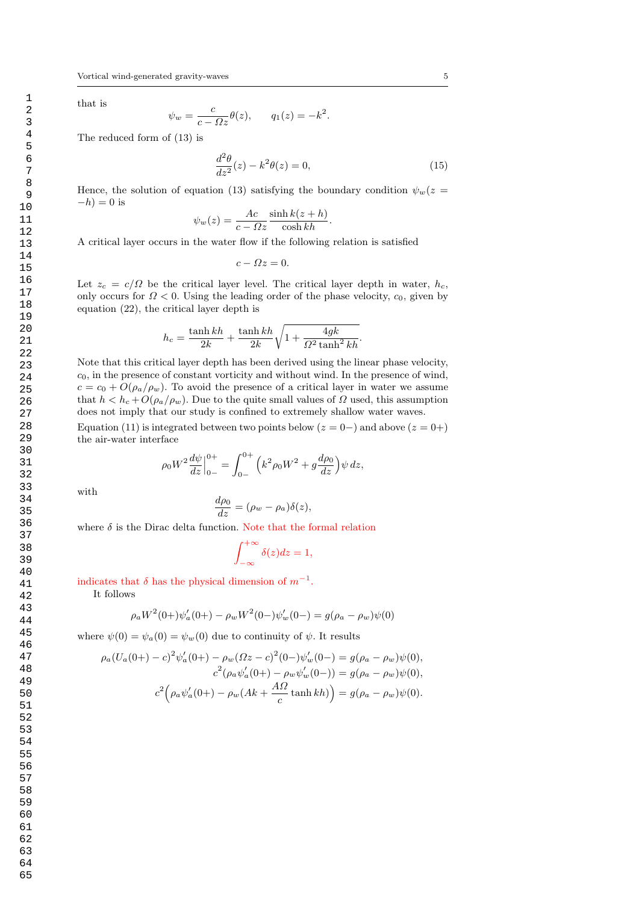that is

$$
\psi_w = \frac{c}{c - \Omega z} \theta(z), \qquad q_1(z) = -k^2.
$$

The reduced form of (13) is

$$
\frac{d^2\theta}{dz^2}(z) - k^2\theta(z) = 0,
$$
\n(15)

Hence, the solution of equation (13) satisfying the boundary condition  $\psi_w(z =$  $-h$ ) = 0 is

$$
\psi_w(z) = \frac{Ac}{c - \Omega z} \frac{\sinh k(z + h)}{\cosh kh}.
$$

A critical layer occurs in the water flow if the following relation is satisfied

$$
c - \Omega z = 0.
$$

Let  $z_c = c/\Omega$  be the critical layer level. The critical layer depth in water,  $h_c$ , only occurs for  $\Omega < 0$ . Using the leading order of the phase velocity,  $c_0$ , given by equation (22), the critical layer depth is

$$
h_c=\frac{\tanh kh}{2k}+\frac{\tanh kh}{2k}\sqrt{1+\frac{4gk}{\varOmega^2\tanh^2kh}}.
$$

Note that this critical layer depth has been derived using the linear phase velocity,  $c_0$ , in the presence of constant vorticity and without wind. In the presence of wind,  $c = c_0 + O(\rho_a/\rho_w)$ . To avoid the presence of a critical layer in water we assume that  $h < h_c + O(\rho_a/\rho_w)$ . Due to the quite small values of  $\Omega$  used, this assumption does not imply that our study is confined to extremely shallow water waves.

Equation (11) is integrated between two points below ( $z = 0-$ ) and above ( $z = 0+$ ) the air-water interface

$$
\rho_0 W^2 \frac{d\psi}{dz} \Big|_{0-}^{0+} = \int_{0-}^{0+} \left( k^2 \rho_0 W^2 + g \frac{d\rho_0}{dz} \right) \psi \, dz,
$$

with

$$
\frac{d\rho_0}{dz} = (\rho_w - \rho_a)\delta(z),
$$

where  $\delta$  is the Dirac delta function. Note that the formal relation

$$
\int_{-\infty}^{+\infty} \delta(z)dz = 1,
$$

indicates that  $\delta$  has the physical dimension of  $m^{-1}$ . It follows

$$
\rho_a W^2(0+) \psi'_a(0+) - \rho_w W^2(0-) \psi'_w(0-) = g(\rho_a - \rho_w) \psi(0)
$$

where  $\psi(0) = \psi_a(0) = \psi_w(0)$  due to continuity of  $\psi$ . It results

$$
\rho_a (U_a(0+) - c)^2 \psi_a'(0+) - \rho_w (\Omega z - c)^2 (0-) \psi_w'(0-) = g(\rho_a - \rho_w) \psi(0),
$$
  

$$
c^2 (\rho_a \psi_a'(0+) - \rho_w \psi_w'(0-)) = g(\rho_a - \rho_w) \psi(0),
$$
  

$$
c^2 (\rho_a \psi_a'(0+) - \rho_w (Ak + \frac{A\Omega}{c} \tanh kh)) = g(\rho_a - \rho_w) \psi(0).
$$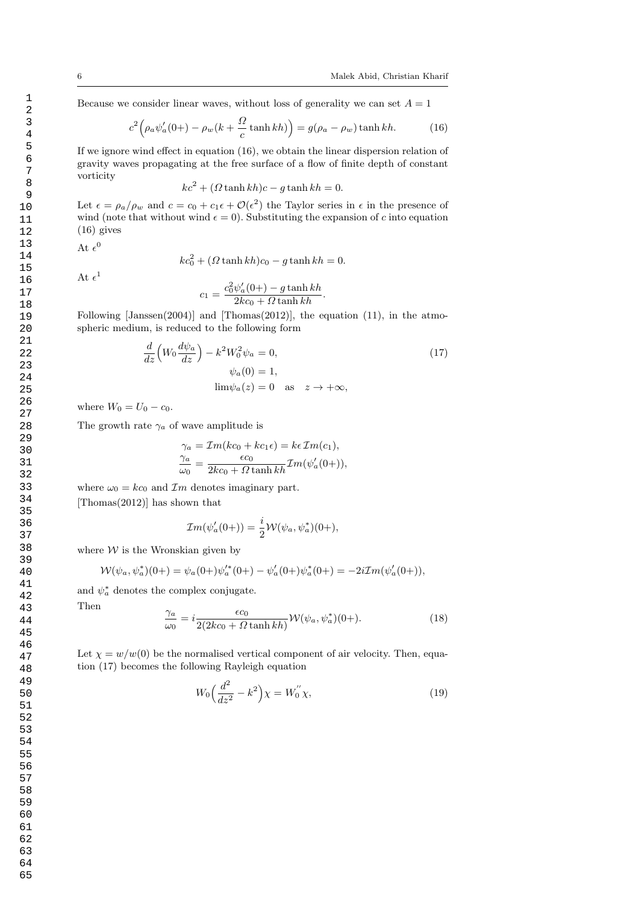Because we consider linear waves, without loss of generality we can set  $A = 1$ 

$$
c^{2} \left( \rho_{a} \psi_{a}^{\prime} (0+) - \rho_{w} (k + \frac{\Omega}{c} \tanh kh) \right) = g(\rho_{a} - \rho_{w}) \tanh kh. \tag{16}
$$

If we ignore wind effect in equation (16), we obtain the linear dispersion relation of gravity waves propagating at the free surface of a flow of finite depth of constant vorticity

$$
kc^2 + (\Omega \tanh kh)c - g \tanh kh = 0.
$$

Let  $\epsilon = \rho_a/\rho_w$  and  $c = c_0 + c_1 \epsilon + \mathcal{O}(\epsilon^2)$  the Taylor series in  $\epsilon$  in the presence of wind (note that without wind  $\epsilon = 0$ ). Substituting the expansion of c into equation (16) gives

At 
$$
\epsilon^0
$$

$$
kc_0^2 + (\Omega \tanh kh)c_0 - g \tanh kh = 0.
$$

At  $\epsilon^1$ 

$$
c_1 = \frac{c_0^2 \psi_a'(0+)-g \tanh kh}{2kc_0 + \Omega \tanh kh}.
$$

Following  $[Janssen(2004)]$  and  $[Thomas(2012)]$ , the equation (11), in the atmospheric medium, is reduced to the following form

$$
\frac{d}{dz} \left( W_0 \frac{d\psi_a}{dz} \right) - k^2 W_0^2 \psi_a = 0,
$$
\n
$$
\psi_a(0) = 1,
$$
\n
$$
\lim \psi_a(z) = 0 \quad \text{as} \quad z \to +\infty,
$$
\n(17)

where  $W_0 = U_0 - c_0$ .

The growth rate  $\gamma_a$  of wave amplitude is

d

$$
\gamma_a = \mathcal{I}m(kc_0 + kc_1\epsilon) = k\epsilon \mathcal{I}m(c_1),
$$
  
\n
$$
\frac{\gamma_a}{\omega_0} = \frac{\epsilon c_0}{2kc_0 + \Omega \tanh kh} \mathcal{I}m(\psi_a'(0+)),
$$

where  $\omega_0 = kc_0$  and  $\mathcal{I}m$  denotes imaginary part.

[Thomas(2012)] has shown that

$$
\mathcal{I}m(\psi_a'(0+)) = \frac{i}{2}\mathcal{W}(\psi_a, \psi_a^*)(0+),
$$

where  $W$  is the Wronskian given by

$$
\mathcal{W}(\psi_a, \psi_a^*)(0+) = \psi_a(0+) \psi_a^{\prime *} (0+) - \psi_a^{\prime} (0+) \psi_a^*(0+) = -2i \mathcal{I} m(\psi_a^{\prime} (0+)),
$$

and  $\psi_a^*$  denotes the complex conjugate.

Then

$$
\frac{\gamma_a}{\omega_0} = i \frac{\epsilon c_0}{2(2kc_0 + \Omega \tanh kh)} \mathcal{W}(\psi_a, \psi_a^*)(0+). \tag{18}
$$

Let  $\chi = w/w(0)$  be the normalised vertical component of air velocity. Then, equation (17) becomes the following Rayleigh equation

$$
W_0 \left(\frac{d^2}{dz^2} - k^2\right) \chi = W_0'' \chi,\tag{19}
$$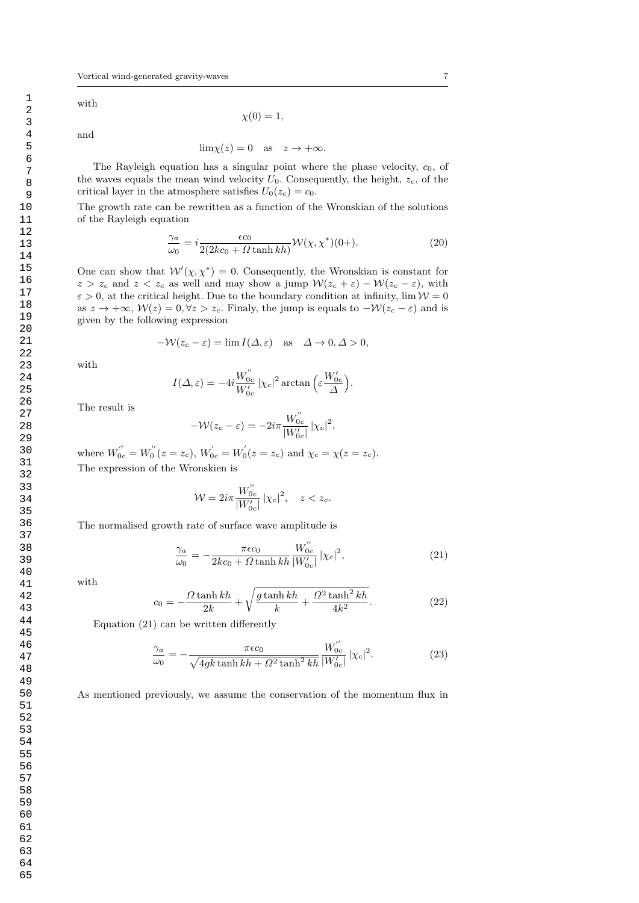65

with

$$
\chi(0)=1,
$$

and

 $\lim_{x \to \infty}$  as  $z \to +\infty$ .

The Rayleigh equation has a singular point where the phase velocity,  $c_0$ , of the waves equals the mean wind velocity  $U_0$ . Consequently, the height,  $z_c$ , of the critical layer in the atmosphere satisfies  $U_0(z_c) = c_0$ .

The growth rate can be rewritten as a function of the Wronskian of the solutions of the Rayleigh equation

$$
\frac{\gamma_a}{\omega_0} = i \frac{\epsilon c_0}{2(2kc_0 + \Omega \tanh kh)} \mathcal{W}(\chi, \chi^*)(0+).
$$
 (20)

One can show that  $W'(\chi, \chi^*) = 0$ . Consequently, the Wronskian is constant for  $z > z_c$  and  $z < z_c$  as well and may show a jump  $\mathcal{W}(z_c + \varepsilon) - \mathcal{W}(z_c - \varepsilon)$ , with  $\varepsilon > 0$ , at the critical height. Due to the boundary condition at infinity,  $\lim W = 0$ as  $z \to +\infty$ ,  $\mathcal{W}(z) = 0, \forall z > z_c$ . Finaly, the jump is equals to  $-\mathcal{W}(z_c - \varepsilon)$  and is given by the following expression

$$
-\mathcal{W}(z_c - \varepsilon) = \lim I(\Delta, \varepsilon) \quad \text{as} \quad \Delta \to 0, \Delta > 0,
$$

with

$$
I(\varDelta,\varepsilon)=-4i\frac{W_{0c}^{''}}{W_{0c}'}\left|\chi_c\right|^2\arctan{\left(\varepsilon\frac{W_{0c}'}{\varDelta}\right)}.
$$

The result is

$$
-\mathcal{W}(z_c - \varepsilon) = -2i\pi \frac{W_{0c}^{''}}{|W_{0c}^{'}|} |x_c|^2,
$$

where  $W_{0c}^{''} = W_0^{''}(z = z_c)$ ,  $W_{0c}^{'} = W_0^{'}(z = z_c)$  and  $\chi_c = \chi(z = z_c)$ . The expression of the Wronskien is

$$
\mathcal{W} = 2i\pi \frac{W_{0c}^{''}}{|W_{0c}'|} |x_c|^2, \quad z < z_c.
$$

The normalised growth rate of surface wave amplitude is

$$
\frac{\gamma_a}{\omega_0} = -\frac{\pi \epsilon c_0}{2kc_0 + \Omega \tanh kh} \frac{W_{0c}^{''}}{|W_{0c}^{\prime}|} |\chi_c|^2,
$$
\n(21)

with

$$
c_0 = -\frac{\Omega \tanh kh}{2k} + \sqrt{\frac{g \tanh kh}{k} + \frac{\Omega^2 \tanh^2 kh}{4k^2}}.
$$
 (22)

Equation (21) can be written differently

$$
\frac{\gamma_a}{\omega_0} = -\frac{\pi \epsilon c_0}{\sqrt{4gk \tanh kh + \Omega^2 \tanh^2 kh}} \frac{W_{0c}^{''}}{|W_{0c}^{'}|} |\chi_c|^2.
$$
\n(23)

As mentioned previously, we assume the conservation of the momentum flux in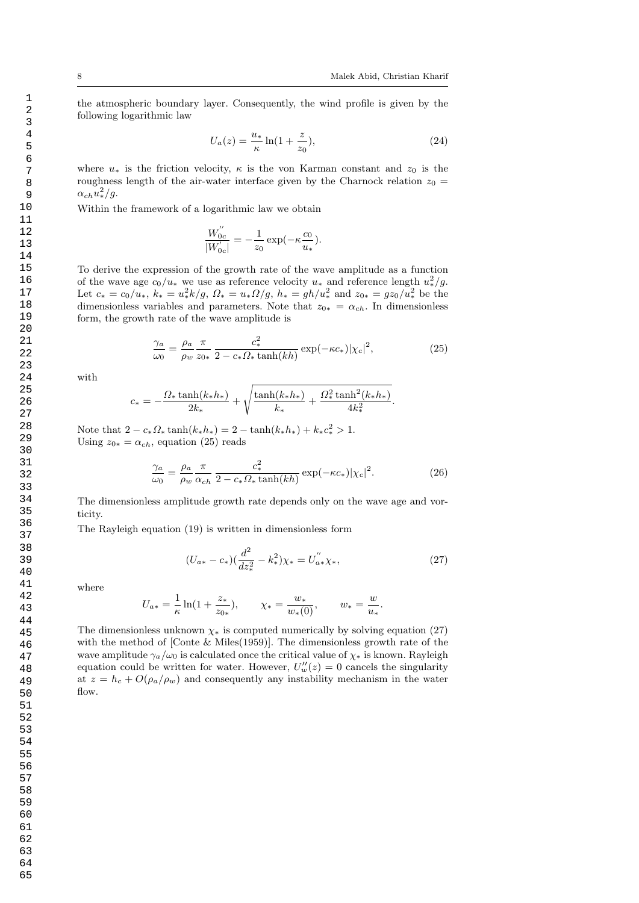the atmospheric boundary layer. Consequently, the wind profile is given by the following logarithmic law

$$
U_a(z) = \frac{u_*}{\kappa} \ln(1 + \frac{z}{z_0}),
$$
\n(24)

where  $u_*$  is the friction velocity,  $\kappa$  is the von Karman constant and  $z_0$  is the roughness length of the air-water interface given by the Charnock relation  $z_0 =$  $\alpha_{ch}u^2_*/g.$ 

Within the framework of a logarithmic law we obtain

$$
\frac{W_{0c}^{''}}{|W_{0c}'|} = -\frac{1}{z_0} \exp(-\kappa \frac{c_0}{u_*}).
$$

To derive the expression of the growth rate of the wave amplitude as a function of the wave age  $c_0/u_*$  we use as reference velocity  $u_*$  and reference length  $u_*^2/g$ . Let  $c_* = c_0/u_*, k_* = u_*^2 k/g, \Omega_* = u_* \Omega/g, h_* = gh/u_*^2$  and  $z_{0*} = gz_0/u_*^2$  be the dimensionless variables and parameters. Note that  $z_{0*} = \alpha_{ch}$ . In dimensionless form, the growth rate of the wave amplitude is

$$
\frac{\gamma_a}{\omega_0} = \frac{\rho_a}{\rho_w} \frac{\pi}{z_{0*}} \frac{c_*^2}{2 - c_* \Omega_* \tanh(kh)} \exp(-\kappa c_*) |\chi_c|^2, \tag{25}
$$

with

$$
c_* = -\frac{\Omega_* \tanh(k_* h_*)}{2k_*} + \sqrt{\frac{\tanh(k_* h_*)}{k_*} + \frac{\Omega_*^2 \tanh^2(k_* h_*)}{4k_*^2}}.
$$

Note that  $2 - c_* \Omega_* \tanh(k_* h_*) = 2 - \tanh(k_* h_*) + k_* c_*^2 > 1$ . Using  $z_{0*} = \alpha_{ch}$ , equation (25) reads

$$
\frac{\gamma_a}{\omega_0} = \frac{\rho_a}{\rho_w} \frac{\pi}{\alpha_{ch}} \frac{c_*^2}{2 - c_* \Omega_* \tanh(kh)} \exp(-\kappa c_*) |\chi_c|^2.
$$
 (26)

The dimensionless amplitude growth rate depends only on the wave age and vorticity.

The Rayleigh equation (19) is written in dimensionless form

$$
(U_{a*} - c_*)(\frac{d^2}{dz_*^2} - k_*^2)\chi_* = U_{a*}'\chi_*,
$$
\n(27)

.

where

$$
U_{a*} = \frac{1}{\kappa} \ln(1 + \frac{z_*}{z_{0*}}), \qquad \chi_* = \frac{w_*}{w_*(0)}, \qquad w_* = \frac{w}{u_*}
$$

The dimensionless unknown  $\chi_*$  is computed numerically by solving equation (27) with the method of [Conte & Miles(1959)]. The dimensionless growth rate of the wave amplitude  $\gamma_a/\omega_0$  is calculated once the critical value of  $\chi_*$  is known. Rayleigh equation could be written for water. However,  $U''_w(z) = 0$  cancels the singularity at  $z = h_c + O(\rho_a/\rho_w)$  and consequently any instability mechanism in the water flow.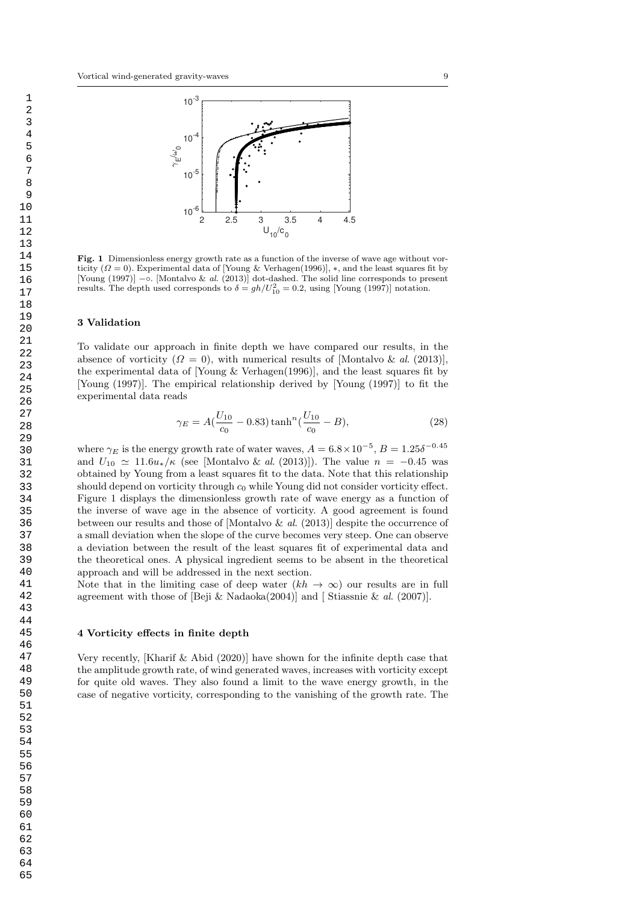

Fig. 1 Dimensionless energy growth rate as a function of the inverse of wave age without vorticity ( $\Omega = 0$ ). Experimental data of [Young & Verhagen(1996)], \*, and the least squares fit by [Young (1997)] −◦. [Montalvo & al. (2013)] dot-dashed. The solid line corresponds to present results. The depth used corresponds to  $\delta = gh/U_{10}^2 = 0.2$ , using [Young (1997)] notation.

#### 3 Validation

To validate our approach in finite depth we have compared our results, in the absence of vorticity  $(\Omega = 0)$ , with numerical results of [Montalvo & al. (2013)], the experimental data of [Young & Verhagen(1996)], and the least squares fit by [Young (1997)]. The empirical relationship derived by [Young (1997)] to fit the experimental data reads

$$
\gamma_E = A \left( \frac{U_{10}}{c_0} - 0.83 \right) \tanh^n \left( \frac{U_{10}}{c_0} - B \right),\tag{28}
$$

where  $\gamma_E$  is the energy growth rate of water waves,  $A = 6.8 \times 10^{-5}$ ,  $B = 1.25 \delta^{-0.45}$ and  $U_{10} \simeq 11.6u_*/\kappa$  (see [Montalvo & al. (2013)]). The value  $n = -0.45$  was obtained by Young from a least squares fit to the data. Note that this relationship should depend on vorticity through  $c_0$  while Young did not consider vorticity effect. Figure 1 displays the dimensionless growth rate of wave energy as a function of the inverse of wave age in the absence of vorticity. A good agreement is found between our results and those of [Montalvo  $\&$  al. (2013)] despite the occurrence of a small deviation when the slope of the curve becomes very steep. One can observe a deviation between the result of the least squares fit of experimental data and the theoretical ones. A physical ingredient seems to be absent in the theoretical approach and will be addressed in the next section.

Note that in the limiting case of deep water  $(kh \to \infty)$  our results are in full agreement with those of [Beji & Nadaoka(2004)] and [ Stiassnie & al. (2007)].

#### 4 Vorticity effects in finite depth

Very recently, [Kharif & Abid (2020)] have shown for the infinite depth case that the amplitude growth rate, of wind generated waves, increases with vorticity except for quite old waves. They also found a limit to the wave energy growth, in the case of negative vorticity, corresponding to the vanishing of the growth rate. The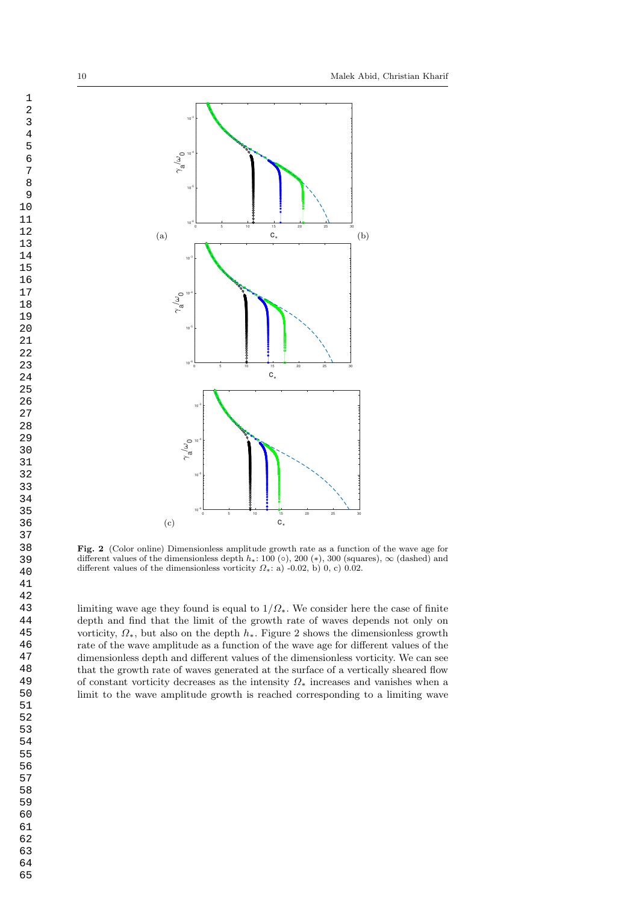

Fig. 2 (Color online) Dimensionless amplitude growth rate as a function of the wave age for different values of the dimensionless depth  $h_*: 100 \text{ (} \circ )$ , 200 ( $*$ ), 300 (squares),  $\infty$  (dashed) and different values of the dimensionless vorticity  $\Omega_*$ : a) -0.02, b) 0, c) 0.02.

limiting wave age they found is equal to  $1/\Omega_*$ . We consider here the case of finite depth and find that the limit of the growth rate of waves depends not only on vorticity,  $\Omega_*$ , but also on the depth  $h_*$ . Figure 2 shows the dimensionless growth rate of the wave amplitude as a function of the wave age for different values of the dimensionless depth and different values of the dimensionless vorticity. We can see that the growth rate of waves generated at the surface of a vertically sheared flow of constant vorticity decreases as the intensity  $\Omega_*$  increases and vanishes when a limit to the wave amplitude growth is reached corresponding to a limiting wave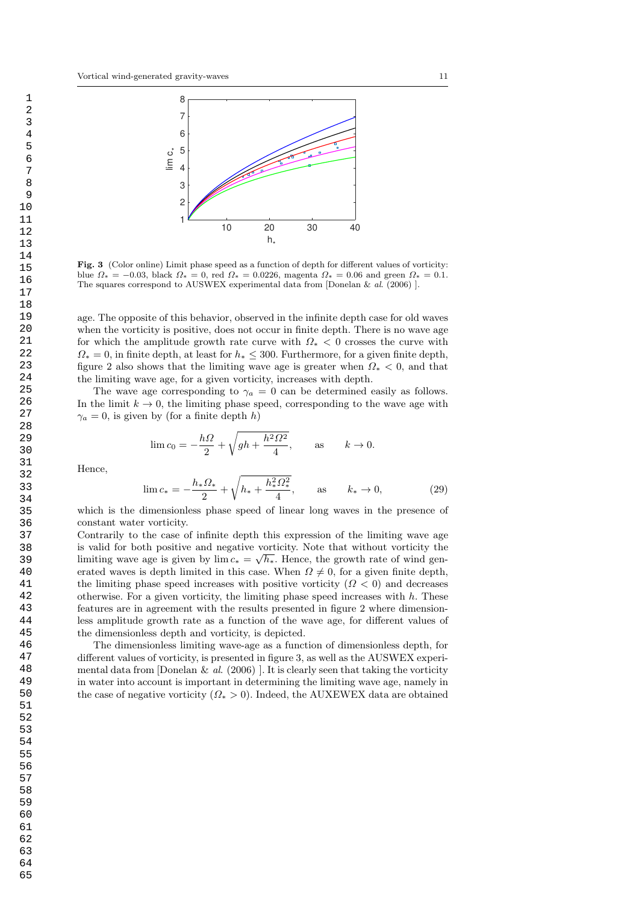

Fig. 3 (Color online) Limit phase speed as a function of depth for different values of vorticity: blue  $\Omega_* = -0.03$ , black  $\Omega_* = 0$ , red  $\Omega_* = 0.0226$ , magenta  $\Omega_* = 0.06$  and green  $\Omega_* = 0.1$ . The squares correspond to AUSWEX experimental data from [Donelan & al. (2006) ].

age. The opposite of this behavior, observed in the infinite depth case for old waves when the vorticity is positive, does not occur in finite depth. There is no wave age for which the amplitude growth rate curve with  $\Omega_* < 0$  crosses the curve with  $\Omega_* = 0$ , in finite depth, at least for  $h_* \leq 300$ . Furthermore, for a given finite depth, figure 2 also shows that the limiting wave age is greater when  $\Omega_* < 0$ , and that the limiting wave age, for a given vorticity, increases with depth.

The wave age corresponding to  $\gamma_a = 0$  can be determined easily as follows. In the limit  $k \to 0$ , the limiting phase speed, corresponding to the wave age with  $\gamma_a = 0$ , is given by (for a finite depth h)

$$
\lim c_0 = -\frac{h\Omega}{2} + \sqrt{gh + \frac{h^2 \Omega^2}{4}},
$$
 as  $k \to 0$ .

Hence,

$$
\lim c_* = -\frac{h_* \Omega_*}{2} + \sqrt{h_* + \frac{h_*^2 \Omega_*^2}{4}}, \qquad \text{as} \qquad k_* \to 0,
$$
 (29)

which is the dimensionless phase speed of linear long waves in the presence of constant water vorticity.

Contrarily to the case of infinite depth this expression of the limiting wave age is valid for both positive and negative vorticity. Note that without vorticity the limiting wave age is given by  $\lim c_* = \sqrt{h_*}$ . Hence, the growth rate of wind generated waves is depth limited in this case. When  $\Omega \neq 0$ , for a given finite depth, the limiting phase speed increases with positive vorticity  $(Q < 0)$  and decreases otherwise. For a given vorticity, the limiting phase speed increases with  $h$ . These features are in agreement with the results presented in figure 2 where dimensionless amplitude growth rate as a function of the wave age, for different values of the dimensionless depth and vorticity, is depicted.

The dimensionless limiting wave-age as a function of dimensionless depth, for different values of vorticity, is presented in figure 3, as well as the AUSWEX experimental data from [Donelan & al. (2006)]. It is clearly seen that taking the vorticity in water into account is important in determining the limiting wave age, namely in the case of negative vorticity  $(\Omega_* > 0)$ . Indeed, the AUXEWEX data are obtained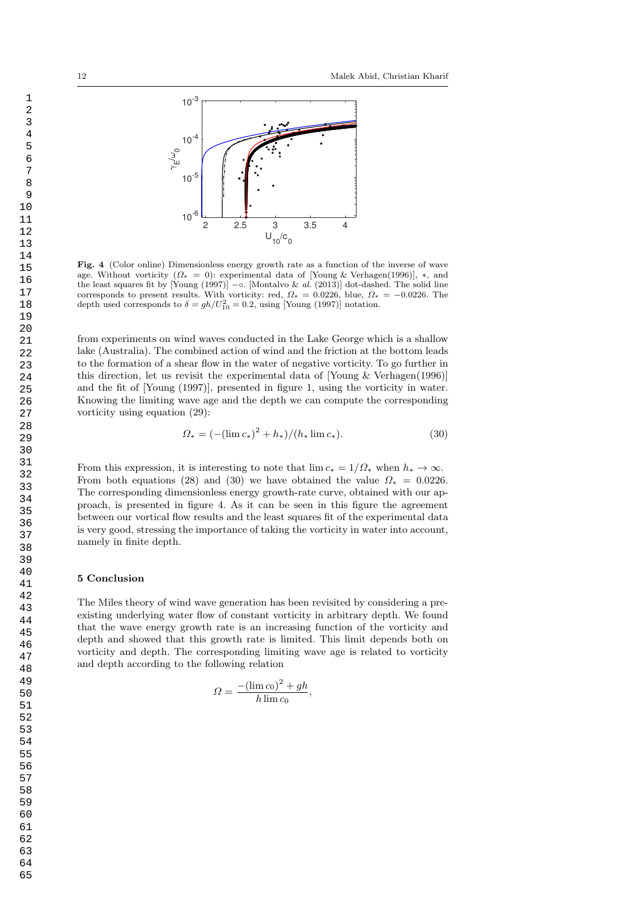

Fig. 4 (Color online) Dimensionless energy growth rate as a function of the inverse of wave age. Without vorticity  $(\Omega_*)$  = 0): experimental data of [Young & Verhagen(1996)], \*, and the least squares fit by [Young (1997)] −◦. [Montalvo & al. (2013)] dot-dashed. The solid line corresponds to present results. With vorticity: red,  $\Omega_* = 0.0226$ , blue,  $\Omega_* = -0.0226$ . The depth used corresponds to  $\delta = gh/U_{10}^2 = 0.2$ , using [Young (1997)] notation.

from experiments on wind waves conducted in the Lake George which is a shallow lake (Australia). The combined action of wind and the friction at the bottom leads to the formation of a shear flow in the water of negative vorticity. To go further in this direction, let us revisit the experimental data of [Young & Verhagen(1996)] and the fit of [Young (1997)], presented in figure 1, using the vorticity in water. Knowing the limiting wave age and the depth we can compute the corresponding vorticity using equation (29):

$$
\Omega_* = (-(\lim c_*)^2 + h_*)/(h_* \lim c_*). \tag{30}
$$

From this expression, it is interesting to note that  $\lim c_* = 1/\Omega_*$  when  $h_* \to \infty$ . From both equations (28) and (30) we have obtained the value  $\Omega_* = 0.0226$ . The corresponding dimensionless energy growth-rate curve, obtained with our approach, is presented in figure 4. As it can be seen in this figure the agreement between our vortical flow results and the least squares fit of the experimental data is very good, stressing the importance of taking the vorticity in water into account, namely in finite depth.

#### 5 Conclusion

The Miles theory of wind wave generation has been revisited by considering a preexisting underlying water flow of constant vorticity in arbitrary depth. We found that the wave energy growth rate is an increasing function of the vorticity and depth and showed that this growth rate is limited. This limit depends both on vorticity and depth. The corresponding limiting wave age is related to vorticity and depth according to the following relation

$$
\Omega = \frac{- (\lim c_0)^2 + gh}{h \lim c_0},
$$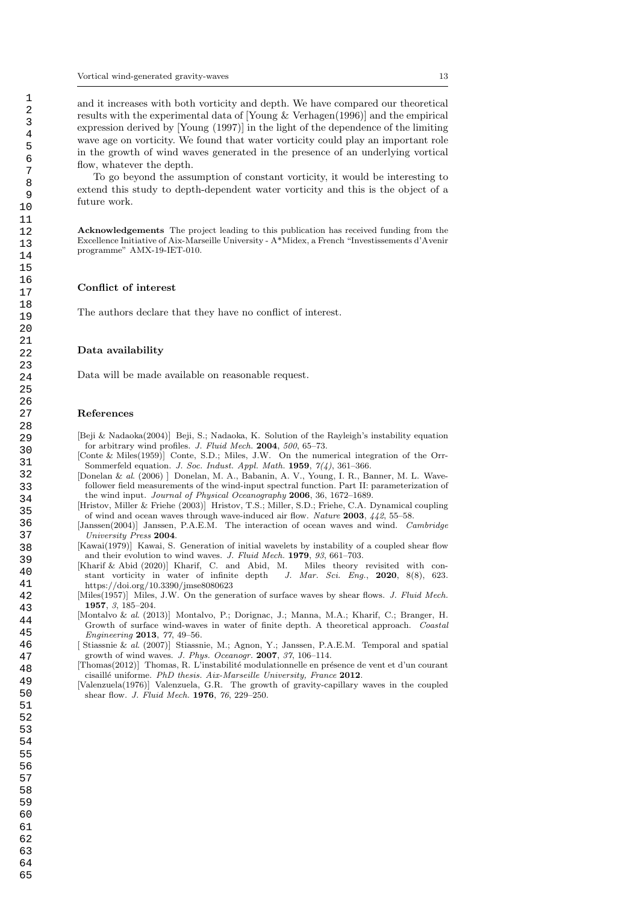and it increases with both vorticity and depth. We have compared our theoretical results with the experimental data of [Young & Verhagen(1996)] and the empirical expression derived by [Young (1997)] in the light of the dependence of the limiting wave age on vorticity. We found that water vorticity could play an important role in the growth of wind waves generated in the presence of an underlying vortical flow, whatever the depth.

To go beyond the assumption of constant vorticity, it would be interesting to extend this study to depth-dependent water vorticity and this is the object of a future work.

Acknowledgements The project leading to this publication has received funding from the Excellence Initiative of Aix-Marseille University - A\*Midex, a French "Investissements d'Avenir programme" AMX-19-IET-010.

#### Conflict of interest

The authors declare that they have no conflict of interest.

#### Data availability

Data will be made available on reasonable request.

#### References

- [Beji & Nadaoka(2004)] Beji, S.; Nadaoka, K. Solution of the Rayleigh's instability equation for arbitrary wind profiles. J. Fluid Mech. 2004, 500, 65–73.
- [Conte & Miles(1959)] Conte, S.D.; Miles, J.W. On the numerical integration of the Orr-Sommerfeld equation. J. Soc. Indust. Appl. Math. 1959,  $7(4)$ , 361-366.
- [Donelan & al. (2006) ] Donelan, M. A., Babanin, A. V., Young, I. R., Banner, M. L. Wavefollower field measurements of the wind-input spectral function. Part II: parameterization of the wind input. Journal of Physical Oceanography 2006, 36, 1672–1689.
- [Hristov, Miller & Friehe (2003)] Hristov, T.S.; Miller, S.D.; Friehe, C.A. Dynamical coupling of wind and ocean waves through wave-induced air flow. Nature 2003, 442, 55–58.
- [Janssen(2004)] Janssen, P.A.E.M. The interaction of ocean waves and wind. Cambridge University Press 2004.
- [Kawai(1979)] Kawai, S. Generation of initial wavelets by instability of a coupled shear flow and their evolution to wind waves. J. Fluid Mech. 1979, 93, 661–703.
- [Kharif & Abid (2020)] Kharif, C. and Abid, M. Miles theory revisited with con-<br>stant vorticity in water of infinite depth *J. Mar. Sci. Eng.*, **2020**, 8(8), 623. stant vorticity in water of infinite depth https://doi.org/10.3390/jmse8080623
- [Miles(1957)] Miles, J.W. On the generation of surface waves by shear flows. J. Fluid Mech. , 3, 185–204.
- [Montalvo & al. (2013)] Montalvo, P.; Dorignac, J.; Manna, M.A.; Kharif, C.; Branger, H. Growth of surface wind-waves in water of finite depth. A theoretical approach. Coastal Engineering 2013, 77, 49–56.
- [ Stiassnie & al. (2007)] Stiassnie, M.; Agnon, Y.; Janssen, P.A.E.M. Temporal and spatial growth of wind waves. J. Phys. Oceanogr. ,  $37$ ,  $106-114$ .
- [Thomas(2012)] Thomas, R. L'instabilité modulationnelle en présence de vent et d'un courant cisaillé uniforme. PhD thesis. Aix-Marseille University, France 2012.
- [Valenzuela(1976)] Valenzuela, G.R. The growth of gravity-capillary waves in the coupled shear flow. J. Fluid Mech. 1976, 76, 229–250.